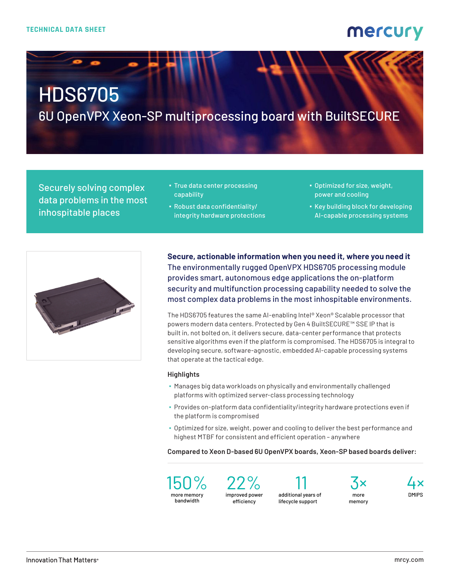### mercury

# HDS6705

6U OpenVPX Xeon-SP multiprocessing board with BuiltSECURE

Securely solving complex data problems in the most inhospitable places

- **True data center processing** capability
- Robust data confidentiality/ integrity hardware protections
- Optimized for size, weight, power and cooling
- Key building block for developing AI-capable processing systems



**Secure, actionable information when you need it, where you need it** The environmentally rugged OpenVPX HDS6705 processing module provides smart, autonomous edge applications the on-platform security and multifunction processing capability needed to solve the most complex data problems in the most inhospitable environments.

The HDS6705 features the same AI-enabling Intel® Xeon® Scalable processor that powers modern data centers. Protected by Gen 4 BuiltSECURE™ SSE IP that is built in, not bolted on, it delivers secure, data-center performance that protects sensitive algorithms even if the platform is compromised. The HDS6705 is integral to developing secure, software-agnostic, embedded AI-capable processing systems that operate at the tactical edge.

#### **Highlights**

- Manages big data workloads on physically and environmentally challenged platforms with optimized server-class processing technology
- Provides on-platform data confidentiality/integrity hardware protections even if the platform is compromised
- Optimized for size, weight, power and cooling to deliver the best performance and highest MTBF for consistent and efficient operation – anywhere

**Compared to Xeon D-based 6U OpenVPX boards, Xeon-SP based boards deliver:**



22% improved power efficiency

11 additional years of lifecycle support



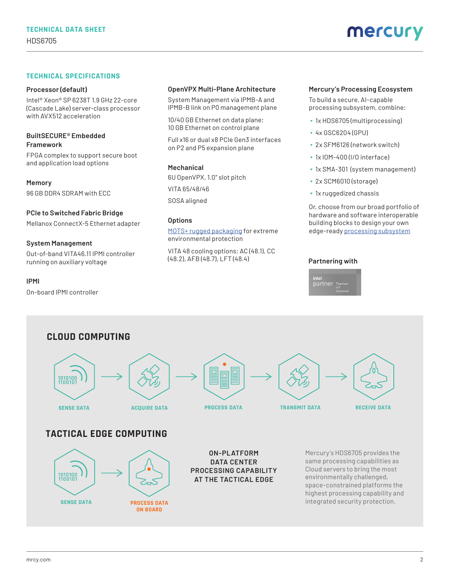#### **TECHNICAL SPECIFICATIONS**

#### **Processor (default)**

Intel® Xeon® SP 6238T 1.9 GHz 22-core (Cascade Lake) server-class processor with AVX512 acceleration

#### **BuiltSECURE® Embedded Framework**

FPGA complex to support secure boot and application load options

**Memory** 96 GB DDR4 SDRAM with ECC

#### **PCIe to Switched Fabric Bridge**

Mellanox ConnectX-5 Ethernet adapter

#### **System Management**

On-board IPMI controller

Out-of-band VITA46.11 IPMI controller running on auxiliary voltage

**IPMI**

### **OpenVPX Multi-Plane Architecture**

System Management via IPMB-A and IPMB-B link on P0 management plane

10/40 GB Ethernet on data plane; 10 GB Ethernet on control plane

Full x16 or dual x8 PCIe Gen3 interfaces on P2 and P5 expansion plane

#### **Mechanical**

6U OpenVPX, 1.0" slot pitch VITA 65/48/46 SOSA aligned

#### **Options**

[MOTS+ rugged packaging](https://www.mrcy.com/application/files/3316/3769/3400/Rugged-OpenVPX-cooling-tech-brief-8031.03E.pdf?utm_source=collateral&utm_medium=print&utm_content=ds&utm_campaign=pla_embedded
) for extreme environmental protection

VITA 48 cooling options: AC (48.1), CC (48.2), AFB (48.7), LFT (48.4)

#### **Mercury's Processing Ecosystem**

To build a secure, AI-capable processing subsystem, combine:

- 1x HDS6705 (multiprocessing)
- 4x GSC6204 (GPU)
- 2x SFM6126 (network switch)
- 1x IOM-400 (I/O interface)
- 1x SMA-301 (system management)
- 2x SCM6010 (storage)
- 1x ruggedized chassis

Or, choose from our broad portfolio of hardware and software interoperable building blocks to design your own edge-ready [processing subsystem](https://www.mrcy.com/products/rugged-servers-and-subsystems/openvpx-systems/embedded-processing-subsystems?utm_source=collateral&utm_medium=print&utm_content=ds&utm_campaign=pla_embedded
)

#### **Partnering with**